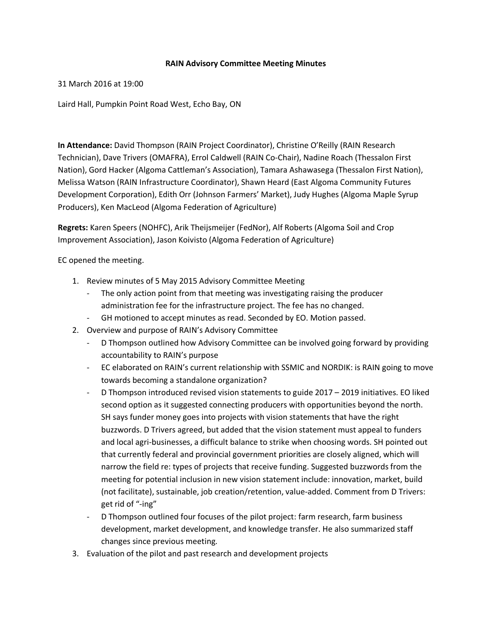## **RAIN Advisory Committee Meeting Minutes**

## 31 March 2016 at 19:00

Laird Hall, Pumpkin Point Road West, Echo Bay, ON

**In Attendance:** David Thompson (RAIN Project Coordinator), Christine O'Reilly (RAIN Research Technician), Dave Trivers (OMAFRA), Errol Caldwell (RAIN Co-Chair), Nadine Roach (Thessalon First Nation), Gord Hacker (Algoma Cattleman's Association), Tamara Ashawasega (Thessalon First Nation), Melissa Watson (RAIN Infrastructure Coordinator), Shawn Heard (East Algoma Community Futures Development Corporation), Edith Orr (Johnson Farmers' Market), Judy Hughes (Algoma Maple Syrup Producers), Ken MacLeod (Algoma Federation of Agriculture)

**Regrets:** Karen Speers (NOHFC), Arik Theijsmeijer (FedNor), Alf Roberts (Algoma Soil and Crop Improvement Association), Jason Koivisto (Algoma Federation of Agriculture)

## EC opened the meeting.

- 1. Review minutes of 5 May 2015 Advisory Committee Meeting
	- The only action point from that meeting was investigating raising the producer administration fee for the infrastructure project. The fee has no changed.
	- GH motioned to accept minutes as read. Seconded by EO. Motion passed.
- 2. Overview and purpose of RAIN's Advisory Committee
	- D Thompson outlined how Advisory Committee can be involved going forward by providing accountability to RAIN's purpose
	- EC elaborated on RAIN's current relationship with SSMIC and NORDIK: is RAIN going to move towards becoming a standalone organization?
	- D Thompson introduced revised vision statements to guide 2017 2019 initiatives. EO liked second option as it suggested connecting producers with opportunities beyond the north. SH says funder money goes into projects with vision statements that have the right buzzwords. D Trivers agreed, but added that the vision statement must appeal to funders and local agri-businesses, a difficult balance to strike when choosing words. SH pointed out that currently federal and provincial government priorities are closely aligned, which will narrow the field re: types of projects that receive funding. Suggested buzzwords from the meeting for potential inclusion in new vision statement include: innovation, market, build (not facilitate), sustainable, job creation/retention, value-added. Comment from D Trivers: get rid of "-ing"
	- D Thompson outlined four focuses of the pilot project: farm research, farm business development, market development, and knowledge transfer. He also summarized staff changes since previous meeting.
- 3. Evaluation of the pilot and past research and development projects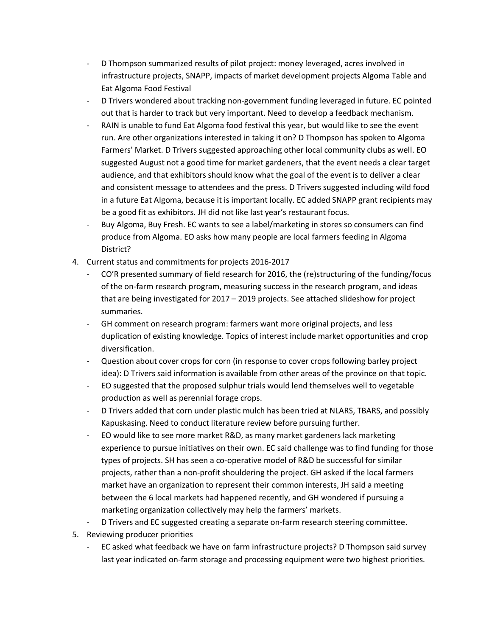- D Thompson summarized results of pilot project: money leveraged, acres involved in infrastructure projects, SNAPP, impacts of market development projects Algoma Table and Eat Algoma Food Festival
- D Trivers wondered about tracking non-government funding leveraged in future. EC pointed out that is harder to track but very important. Need to develop a feedback mechanism.
- RAIN is unable to fund Eat Algoma food festival this year, but would like to see the event run. Are other organizations interested in taking it on? D Thompson has spoken to Algoma Farmers' Market. D Trivers suggested approaching other local community clubs as well. EO suggested August not a good time for market gardeners, that the event needs a clear target audience, and that exhibitors should know what the goal of the event is to deliver a clear and consistent message to attendees and the press. D Trivers suggested including wild food in a future Eat Algoma, because it is important locally. EC added SNAPP grant recipients may be a good fit as exhibitors. JH did not like last year's restaurant focus.
- Buy Algoma, Buy Fresh. EC wants to see a label/marketing in stores so consumers can find produce from Algoma. EO asks how many people are local farmers feeding in Algoma District?
- 4. Current status and commitments for projects 2016-2017
	- CO'R presented summary of field research for 2016, the (re)structuring of the funding/focus of the on-farm research program, measuring success in the research program, and ideas that are being investigated for 2017 – 2019 projects. See attached slideshow for project summaries.
	- GH comment on research program: farmers want more original projects, and less duplication of existing knowledge. Topics of interest include market opportunities and crop diversification.
	- Question about cover crops for corn (in response to cover crops following barley project idea): D Trivers said information is available from other areas of the province on that topic.
	- EO suggested that the proposed sulphur trials would lend themselves well to vegetable production as well as perennial forage crops.
	- D Trivers added that corn under plastic mulch has been tried at NLARS, TBARS, and possibly Kapuskasing. Need to conduct literature review before pursuing further.
	- EO would like to see more market R&D, as many market gardeners lack marketing experience to pursue initiatives on their own. EC said challenge was to find funding for those types of projects. SH has seen a co-operative model of R&D be successful for similar projects, rather than a non-profit shouldering the project. GH asked if the local farmers market have an organization to represent their common interests, JH said a meeting between the 6 local markets had happened recently, and GH wondered if pursuing a marketing organization collectively may help the farmers' markets.
	- D Trivers and EC suggested creating a separate on-farm research steering committee.
- 5. Reviewing producer priorities
	- EC asked what feedback we have on farm infrastructure projects? D Thompson said survey last year indicated on-farm storage and processing equipment were two highest priorities.